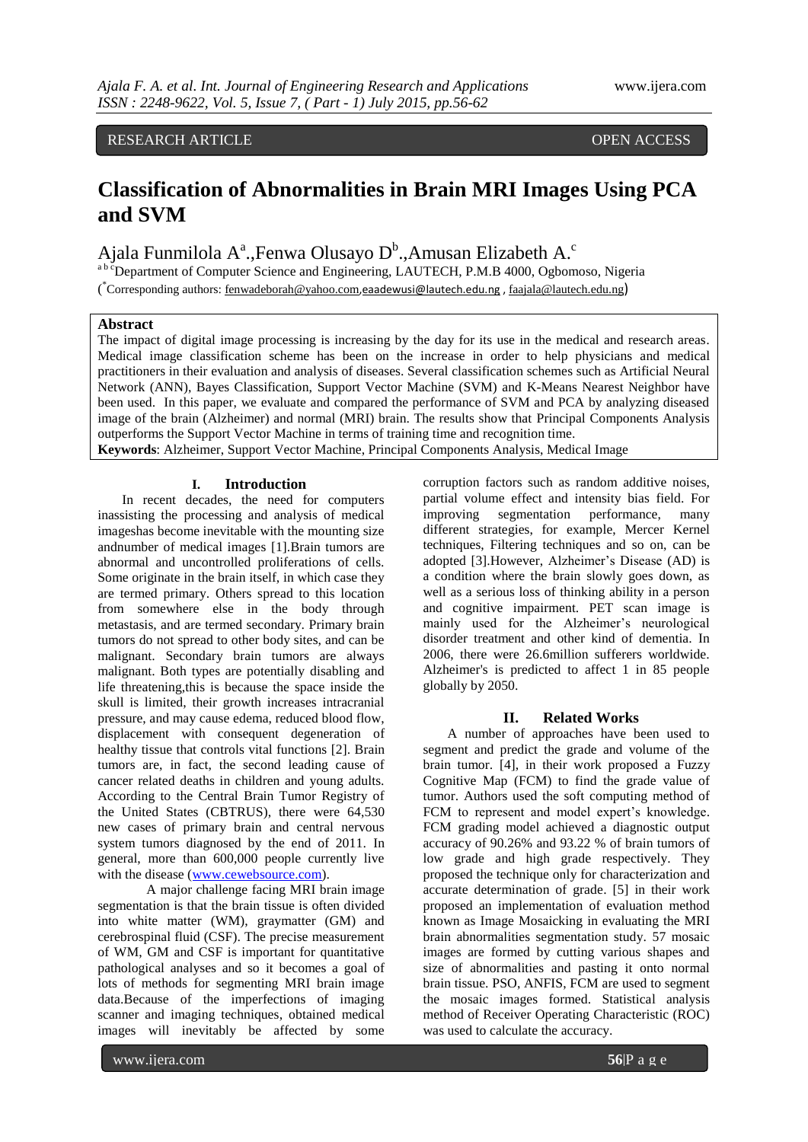# RESEARCH ARTICLE OPEN ACCESS

# **Classification of Abnormalities in Brain MRI Images Using PCA and SVM**

Ajala Funmilola A<sup>a</sup>.,Fenwa Olusayo D<sup>b</sup>.,Amusan Elizabeth A.<sup>c</sup>

<sup>a b c</sup>Department of Computer Science and Engineering, LAUTECH, P.M.B 4000, Ogbomoso, Nigeria (\*Corresponding authors: <u>fenwadeborah@yahoo.com[,eaadewusi@lautech.edu.ng](mailto:eaadewusi@lautech.edu.ng)</u>, [faajala@lautech.edu.ng](mailto:faajala@lautech.edu.ng))

#### **Abstract**

The impact of digital image processing is increasing by the day for its use in the medical and research areas*.*  Medical image classification scheme has been on the increase in order to help physicians and medical practitioners in their evaluation and analysis of diseases. Several classification schemes such as Artificial Neural Network (ANN), Bayes Classification, Support Vector Machine (SVM) and K-Means Nearest Neighbor have been used. In this paper, we evaluate and compared the performance of SVM and PCA by analyzing diseased image of the brain (Alzheimer) and normal (MRI) brain. The results show that Principal Components Analysis outperforms the Support Vector Machine in terms of training time and recognition time. **Keywords**: Alzheimer, Support Vector Machine, Principal Components Analysis, Medical Image

# **I. Introduction**

In recent decades, the need for computers inassisting the processing and analysis of medical imageshas become inevitable with the mounting size andnumber of medical images [1].Brain tumors are abnormal and uncontrolled proliferations of cells. Some originate in the brain itself, in which case they are termed primary. Others spread to this location from somewhere else in the body through metastasis, and are termed secondary. Primary brain tumors do not spread to other body sites, and can be malignant. Secondary brain tumors are always malignant. Both types are potentially disabling and life threatening,this is because the space inside the skull is limited, their growth increases intracranial pressure, and may cause edema, reduced blood flow, displacement with consequent degeneration of healthy tissue that controls vital functions [2]. Brain tumors are, in fact, the second leading cause of cancer related deaths in children and young adults. According to the Central Brain Tumor Registry of the United States (CBTRUS), there were 64,530 new cases of primary brain and central nervous system tumors diagnosed by the end of 2011. In general, more than 600,000 people currently live with the disease [\(www.cewebsource.com\)](http://www.cewebsource.com/).

A major challenge facing MRI brain image segmentation is that the brain tissue is often divided into white matter (WM), graymatter (GM) and cerebrospinal fluid (CSF). The precise measurement of WM, GM and CSF is important for quantitative pathological analyses and so it becomes a goal of lots of methods for segmenting MRI brain image data.Because of the imperfections of imaging scanner and imaging techniques, obtained medical images will inevitably be affected by some

corruption factors such as random additive noises, partial volume effect and intensity bias field. For improving segmentation performance, many different strategies, for example, Mercer Kernel techniques, Filtering techniques and so on, can be adopted [3].However, Alzheimer"s Disease (AD) is a condition where the brain slowly goes down, as well as a serious loss of thinking ability in a person and cognitive impairment. PET scan image is mainly used for the Alzheimer's neurological disorder treatment and other kind of dementia. In 2006, there were 26.6million sufferers worldwide. Alzheimer's is predicted to affect 1 in 85 people globally by 2050.

#### **II. Related Works**

A number of approaches have been used to segment and predict the grade and volume of the brain tumor. [4], in their work proposed a Fuzzy Cognitive Map (FCM) to find the grade value of tumor. Authors used the soft computing method of FCM to represent and model expert's knowledge. FCM grading model achieved a diagnostic output accuracy of 90.26% and 93.22 % of brain tumors of low grade and high grade respectively. They proposed the technique only for characterization and accurate determination of grade. [5] in their work proposed an implementation of evaluation method known as Image Mosaicking in evaluating the MRI brain abnormalities segmentation study. 57 mosaic images are formed by cutting various shapes and size of abnormalities and pasting it onto normal brain tissue. PSO, ANFIS, FCM are used to segment the mosaic images formed. Statistical analysis method of Receiver Operating Characteristic (ROC) was used to calculate the accuracy.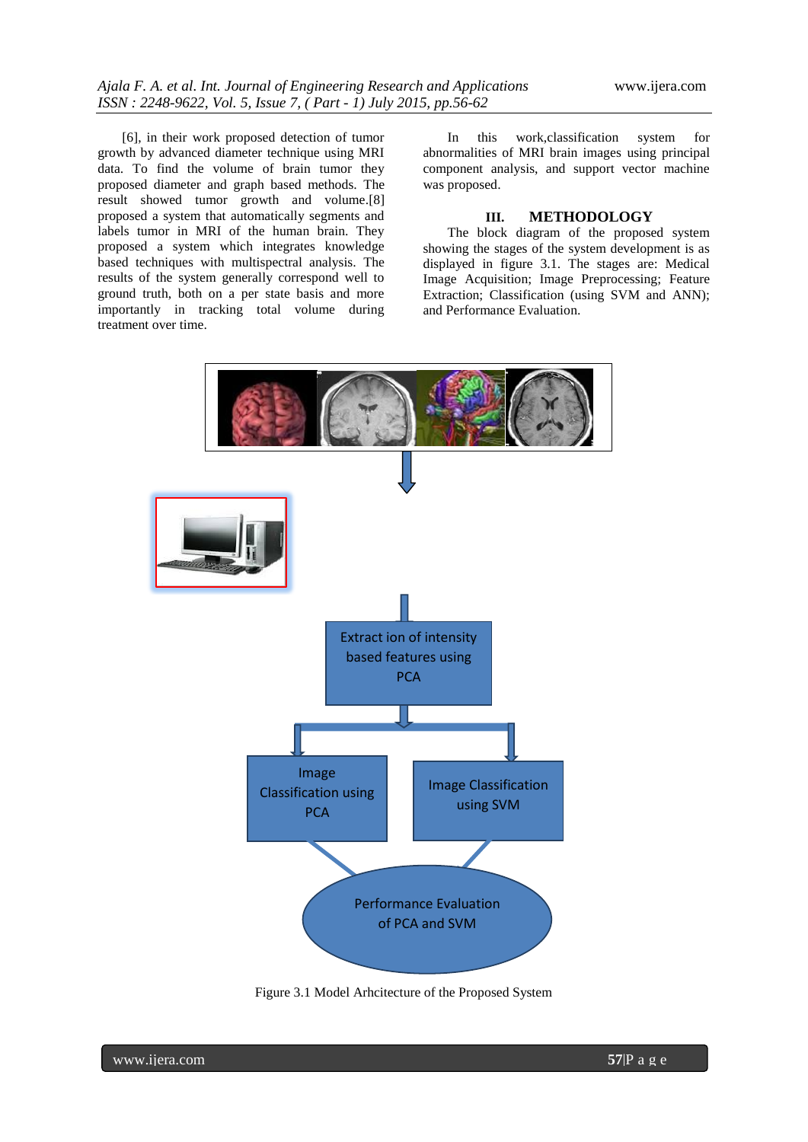[6], in their work proposed detection of tumor growth by advanced diameter technique using MRI data. To find the volume of brain tumor they proposed diameter and graph based methods. The result showed tumor growth and volume.[8] proposed a system that automatically segments and labels tumor in MRI of the human brain. They proposed a system which integrates knowledge based techniques with multispectral analysis. The results of the system generally correspond well to ground truth, both on a per state basis and more importantly in tracking total volume during treatment over time.

In this work,classification system for abnormalities of MRI brain images using principal component analysis, and support vector machine was proposed.

# **III. METHODOLOGY**

The block diagram of the proposed system showing the stages of the system development is as displayed in figure 3.1. The stages are: Medical Image Acquisition; Image Preprocessing; Feature Extraction; Classification (using SVM and ANN); and Performance Evaluation.



Figure 3.1 Model Arhcitecture of the Proposed System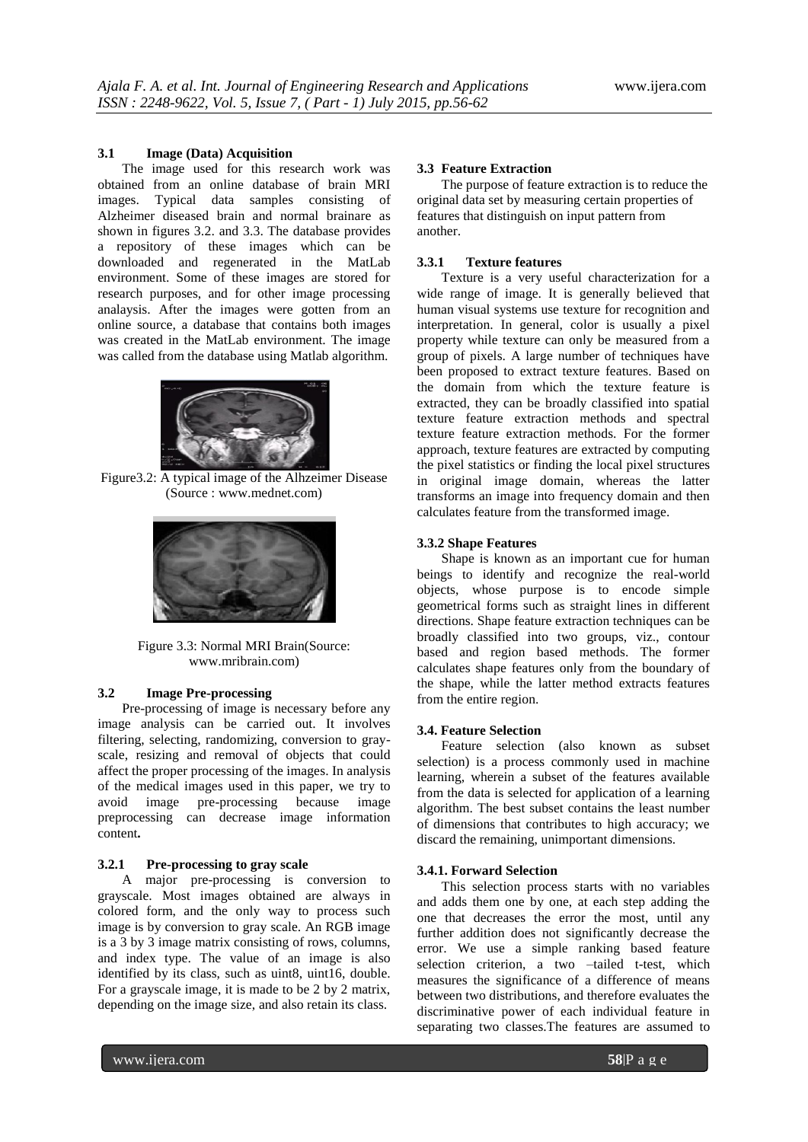#### **3.1 Image (Data) Acquisition**

The image used for this research work was obtained from an online database of brain MRI images. Typical data samples consisting of Alzheimer diseased brain and normal brainare as shown in figures 3.2. and 3.3. The database provides a repository of these images which can be downloaded and regenerated in the MatLab environment. Some of these images are stored for research purposes, and for other image processing analaysis. After the images were gotten from an online source, a database that contains both images was created in the MatLab environment. The image was called from the database using Matlab algorithm.



Figure3.2: A typical image of the Alhzeimer Disease (Source : www.mednet.com)



Figure 3.3: Normal MRI Brain(Source: www.mribrain.com)

# **3.2 Image Pre-processing**

Pre-processing of image is necessary before any image analysis can be carried out. It involves filtering, selecting, randomizing, conversion to grayscale, resizing and removal of objects that could affect the proper processing of the images. In analysis of the medical images used in this paper, we try to avoid image pre-processing because image preprocessing can decrease image information content**.**

#### **3.2.1 Pre-processing to gray scale**

A major pre-processing is conversion to grayscale. Most images obtained are always in colored form, and the only way to process such image is by conversion to gray scale. An RGB image is a 3 by 3 image matrix consisting of rows, columns, and index type. The value of an image is also identified by its class, such as uint8, uint16, double. For a grayscale image, it is made to be 2 by 2 matrix, depending on the image size, and also retain its class.

# **3.3 Feature Extraction**

The purpose of feature extraction is to reduce the original data set by measuring certain properties of features that distinguish on input pattern from another.

#### **3.3.1 Texture features**

Texture is a very useful characterization for a wide range of image. It is generally believed that human visual systems use texture for recognition and interpretation. In general, color is usually a pixel property while texture can only be measured from a group of pixels. A large number of techniques have been proposed to extract texture features. Based on the domain from which the texture feature is extracted, they can be broadly classified into spatial texture feature extraction methods and spectral texture feature extraction methods. For the former approach, texture features are extracted by computing the pixel statistics or finding the local pixel structures in original image domain, whereas the latter transforms an image into frequency domain and then calculates feature from the transformed image.

#### **3.3.2 Shape Features**

Shape is known as an important cue for human beings to identify and recognize the real-world objects, whose purpose is to encode simple geometrical forms such as straight lines in different directions. Shape feature extraction techniques can be broadly classified into two groups, viz., contour based and region based methods. The former calculates shape features only from the boundary of the shape, while the latter method extracts features from the entire region.

#### **3.4. Feature Selection**

Feature selection (also known as subset selection) is a process commonly used in machine learning, wherein a subset of the features available from the data is selected for application of a learning algorithm. The best subset contains the least number of dimensions that contributes to high accuracy; we discard the remaining, unimportant dimensions.

#### **3.4.1. Forward Selection**

This selection process starts with no variables and adds them one by one, at each step adding the one that decreases the error the most, until any further addition does not significantly decrease the error. We use a simple ranking based feature selection criterion, a two –tailed t-test, which measures the significance of a difference of means between two distributions, and therefore evaluates the discriminative power of each individual feature in separating two classes.The features are assumed to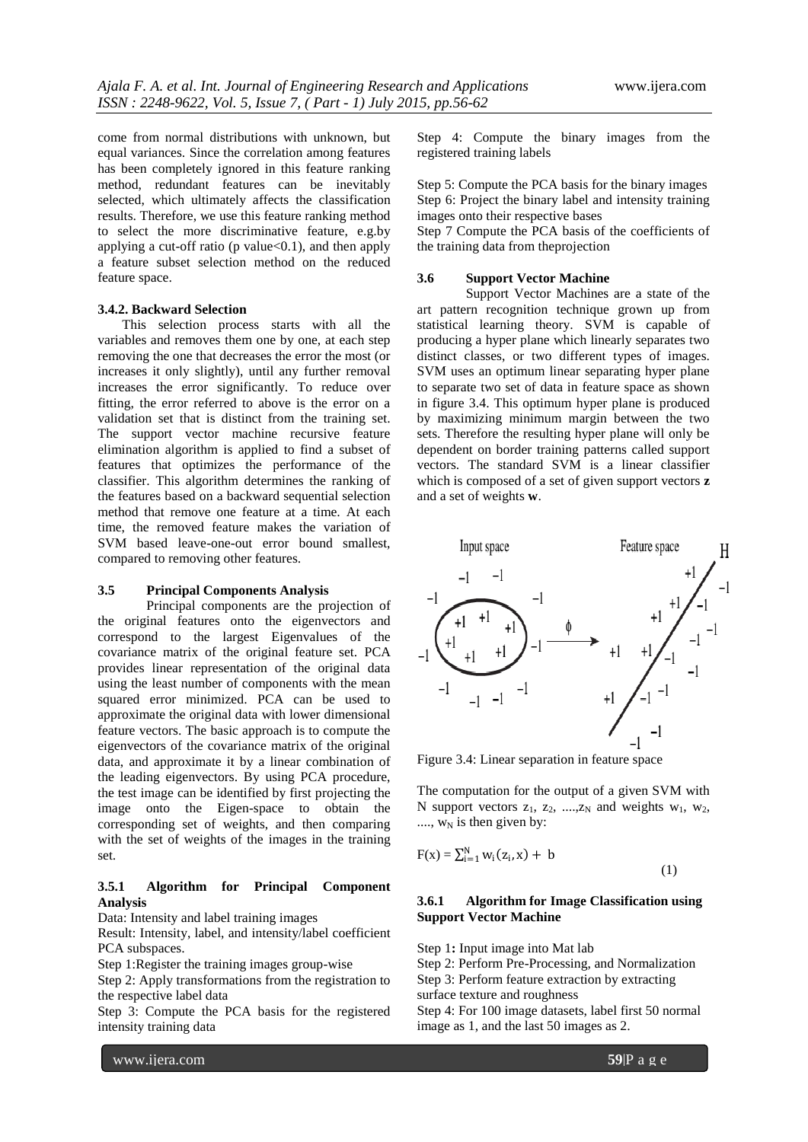come from normal distributions with unknown, but equal variances. Since the correlation among features has been completely ignored in this feature ranking method, redundant features can be inevitably selected, which ultimately affects the classification results. Therefore, we use this feature ranking method to select the more discriminative feature, e.g.by applying a cut-off ratio (p value $<0.1$ ), and then apply a feature subset selection method on the reduced feature space.

## **3.4.2. Backward Selection**

This selection process starts with all the variables and removes them one by one, at each step removing the one that decreases the error the most (or increases it only slightly), until any further removal increases the error significantly. To reduce over fitting, the error referred to above is the error on a validation set that is distinct from the training set. The support vector machine recursive feature elimination algorithm is applied to find a subset of features that optimizes the performance of the classifier. This algorithm determines the ranking of the features based on a backward sequential selection method that remove one feature at a time. At each time, the removed feature makes the variation of SVM based leave-one-out error bound smallest, compared to removing other features.

# **3.5 Principal Components Analysis**

Principal components are the projection of the original features onto the eigenvectors and correspond to the largest Eigenvalues of the covariance matrix of the original feature set. PCA provides linear representation of the original data using the least number of components with the mean squared error minimized. PCA can be used to approximate the original data with lower dimensional feature vectors. The basic approach is to compute the eigenvectors of the covariance matrix of the original data, and approximate it by a linear combination of the leading eigenvectors. By using PCA procedure, the test image can be identified by first projecting the image onto the Eigen-space to obtain the corresponding set of weights, and then comparing with the set of weights of the images in the training set.

# **3.5.1 Algorithm for Principal Component Analysis**

Data: Intensity and label training images

Result: Intensity, label, and intensity/label coefficient PCA subspaces.

Step 1:Register the training images group-wise

Step 2: Apply transformations from the registration to the respective label data

Step 3: Compute the PCA basis for the registered intensity training data

Step 4: Compute the binary images from the registered training labels

Step 5: Compute the PCA basis for the binary images Step 6: Project the binary label and intensity training images onto their respective bases

Step 7 Compute the PCA basis of the coefficients of the training data from theprojection

## **3.6 Support Vector Machine**

Support Vector Machines are a state of the art pattern recognition technique grown up from statistical learning theory. SVM is capable of producing a hyper plane which linearly separates two distinct classes, or two different types of images. SVM uses an optimum linear separating hyper plane to separate two set of data in feature space as shown in figure 3.4. This optimum hyper plane is produced by maximizing minimum margin between the two sets. Therefore the resulting hyper plane will only be dependent on border training patterns called support vectors. The standard SVM is a linear classifier which is composed of a set of given support vectors **z** and a set of weights **w**.



Figure 3.4: Linear separation in feature space

The computation for the output of a given SVM with N support vectors  $z_1$ ,  $z_2$ , ...., $z_N$  and weights  $w_1$ ,  $w_2$ ,  $..., w_N$  is then given by:

$$
F(x) = \sum_{i=1}^{N} w_i(z_i, x) + b
$$
 (1)

#### **3.6.1 Algorithm for Image Classification using Support Vector Machine**

Step 1**:** Input image into Mat lab

Step 2: Perform Pre-Processing, and Normalization Step 3: Perform feature extraction by extracting

surface texture and roughness

Step 4: For 100 image datasets, label first 50 normal image as 1, and the last 50 images as 2.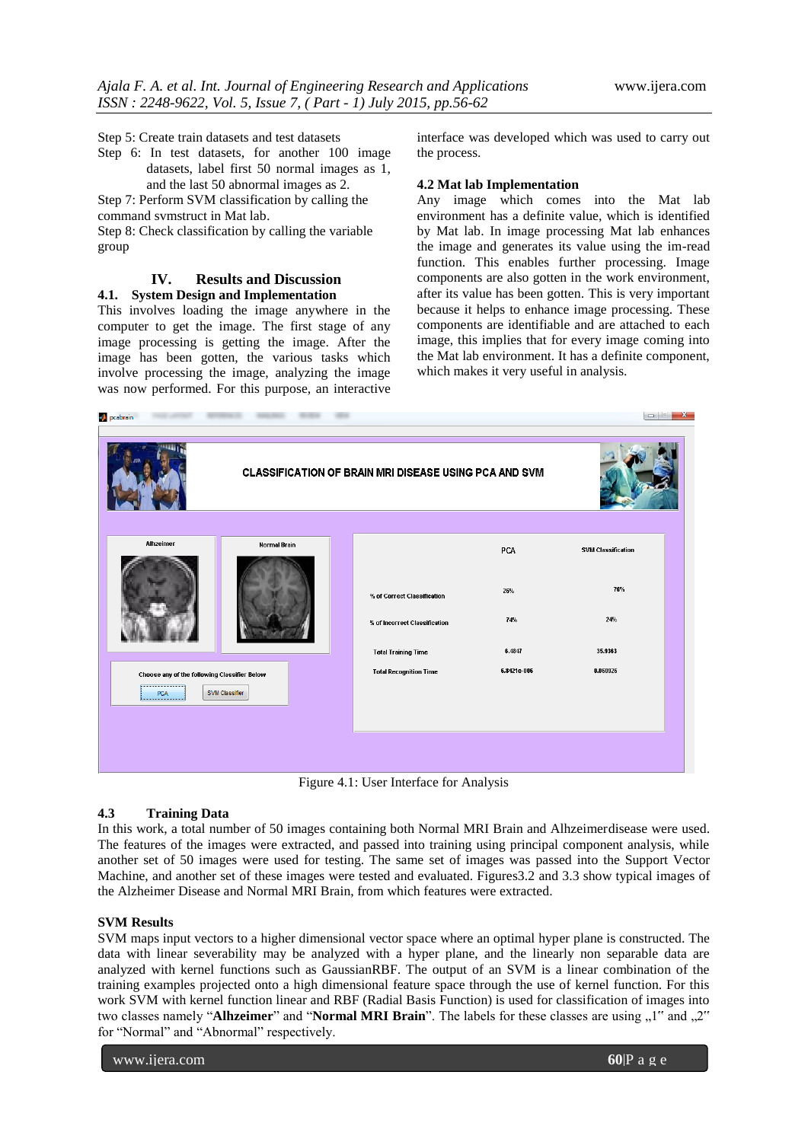Step 5: Create train datasets and test datasets

Step 6: In test datasets, for another 100 image datasets, label first 50 normal images as 1, and the last 50 abnormal images as 2.

Step 7: Perform SVM classification by calling the command svmstruct in Mat lab.

Step 8: Check classification by calling the variable group

# **IV. Results and Discussion**

# **4.1. System Design and Implementation**

This involves loading the image anywhere in the computer to get the image. The first stage of any image processing is getting the image. After the image has been gotten, the various tasks which involve processing the image, analyzing the image was now performed. For this purpose, an interactive

interface was developed which was used to carry out the process.

# **4.2 Mat lab Implementation**

Any image which comes into the Mat lab environment has a definite value, which is identified by Mat lab. In image processing Mat lab enhances the image and generates its value using the im-read function. This enables further processing. Image components are also gotten in the work environment, after its value has been gotten. This is very important because it helps to enhance image processing. These components are identifiable and are attached to each image, this implies that for every image coming into the Mat lab environment. It has a definite component, which makes it very useful in analysis.

| <b>CLASSIFICATION OF BRAIN MRI DISEASE USING PCA AND SVM</b> |                     |                               |             |                           |  |
|--------------------------------------------------------------|---------------------|-------------------------------|-------------|---------------------------|--|
| Alhzeimer                                                    | <b>Normal Brain</b> |                               | PCA         | <b>SVM Classification</b> |  |
|                                                              |                     | % of Correct Classification   | 26%         | 76%                       |  |
|                                                              |                     | % of Incorrect Classification | 74%         | 24%                       |  |
|                                                              |                     | <b>Total Training Time</b>    | 6.4847      | 35.9363                   |  |
| Choose any of the following Classifier Below<br>PCA          | SVM Classifier      | <b>Total Recognition Time</b> | 6.8421e-006 | 0.060926                  |  |
|                                                              |                     |                               |             |                           |  |

Figure 4.1: User Interface for Analysis

# **4.3 Training Data**

In this work, a total number of 50 images containing both Normal MRI Brain and Alhzeimerdisease were used. The features of the images were extracted, and passed into training using principal component analysis, while another set of 50 images were used for testing. The same set of images was passed into the Support Vector Machine, and another set of these images were tested and evaluated. Figures3.2 and 3.3 show typical images of the Alzheimer Disease and Normal MRI Brain, from which features were extracted.

# **SVM Results**

SVM maps input vectors to a higher dimensional vector space where an optimal hyper plane is constructed. The data with linear severability may be analyzed with a hyper plane, and the linearly non separable data are analyzed with kernel functions such as GaussianRBF. The output of an SVM is a linear combination of the training examples projected onto a high dimensional feature space through the use of kernel function. For this work SVM with kernel function linear and RBF (Radial Basis Function) is used for classification of images into two classes namely "**Alhzeimer**" and "**Normal MRI Brain**". The labels for these classes are using  $, 1$ " and  $, 2$ " for "Normal" and "Abnormal" respectively.

www.ijera.com **60**|P a g e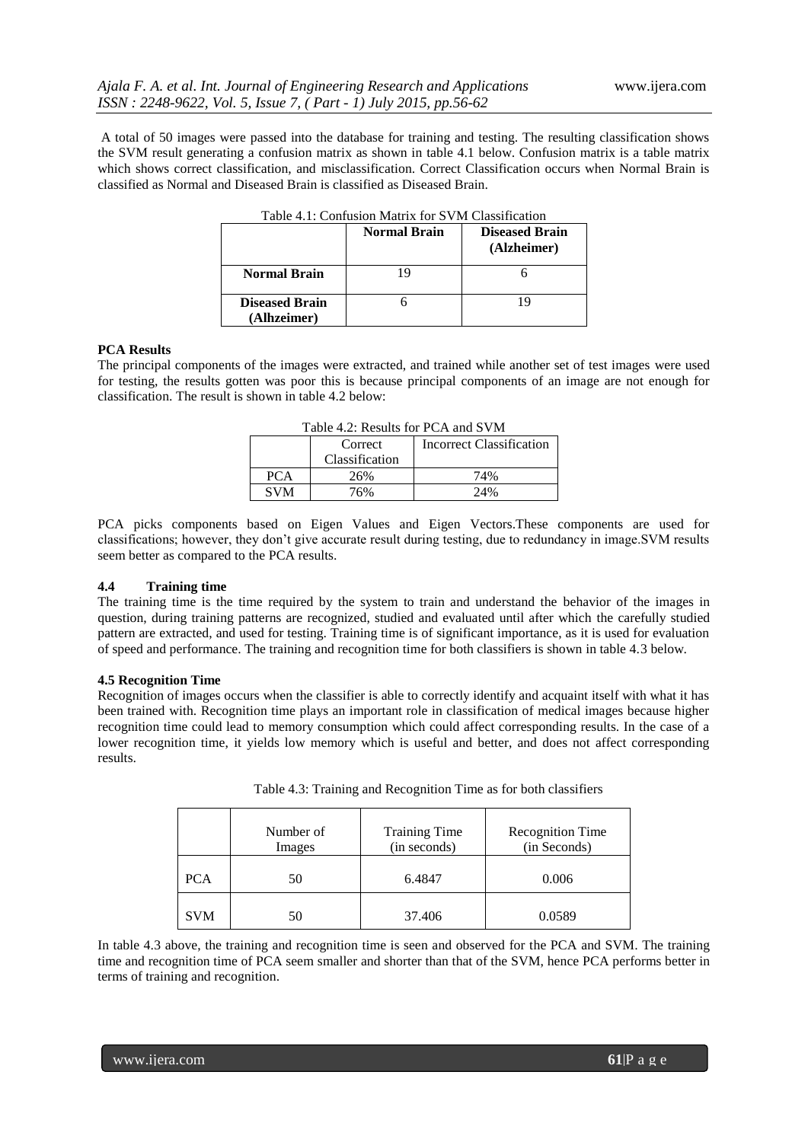A total of 50 images were passed into the database for training and testing. The resulting classification shows the SVM result generating a confusion matrix as shown in table 4.1 below. Confusion matrix is a table matrix which shows correct classification, and misclassification. Correct Classification occurs when Normal Brain is classified as Normal and Diseased Brain is classified as Diseased Brain.

|                                      | <b>Normal Brain</b> | <b>Diseased Brain</b><br>(Alzheimer) |
|--------------------------------------|---------------------|--------------------------------------|
| <b>Normal Brain</b>                  |                     |                                      |
| <b>Diseased Brain</b><br>(Alhzeimer) |                     | 19                                   |

#### **PCA Results**

The principal components of the images were extracted, and trained while another set of test images were used for testing, the results gotten was poor this is because principal components of an image are not enough for classification. The result is shown in table 4.2 below:

| T AVIC 4.2. INCOUNTS TOT TURNATION S VIVI |                |                                 |  |  |  |  |
|-------------------------------------------|----------------|---------------------------------|--|--|--|--|
|                                           | Correct        | <b>Incorrect Classification</b> |  |  |  |  |
|                                           | Classification |                                 |  |  |  |  |
| <b>PCA</b>                                | 26%            | 74%                             |  |  |  |  |
| <b>SVM</b>                                | 76%            | 24%                             |  |  |  |  |

| Table 4.2: Results for PCA and SVM |
|------------------------------------|
|------------------------------------|

PCA picks components based on Eigen Values and Eigen Vectors.These components are used for classifications; however, they don"t give accurate result during testing, due to redundancy in image.SVM results seem better as compared to the PCA results.

## **4.4 Training time**

The training time is the time required by the system to train and understand the behavior of the images in question, during training patterns are recognized, studied and evaluated until after which the carefully studied pattern are extracted, and used for testing. Training time is of significant importance, as it is used for evaluation of speed and performance. The training and recognition time for both classifiers is shown in table 4.3 below.

#### **4.5 Recognition Time**

Recognition of images occurs when the classifier is able to correctly identify and acquaint itself with what it has been trained with. Recognition time plays an important role in classification of medical images because higher recognition time could lead to memory consumption which could affect corresponding results. In the case of a lower recognition time, it yields low memory which is useful and better, and does not affect corresponding results.

| Table 4.3: Training and Recognition Time as for both classifiers |  |  |  |  |
|------------------------------------------------------------------|--|--|--|--|
|                                                                  |  |  |  |  |

|            | Number of<br>Images | <b>Training Time</b><br>(in seconds) | <b>Recognition Time</b><br>(in Seconds) |
|------------|---------------------|--------------------------------------|-----------------------------------------|
| <b>PCA</b> | 50                  | 6.4847                               | 0.006                                   |
| <b>SVM</b> | 50                  | 37.406                               | 0.0589                                  |

In table 4.3 above, the training and recognition time is seen and observed for the PCA and SVM. The training time and recognition time of PCA seem smaller and shorter than that of the SVM, hence PCA performs better in terms of training and recognition.